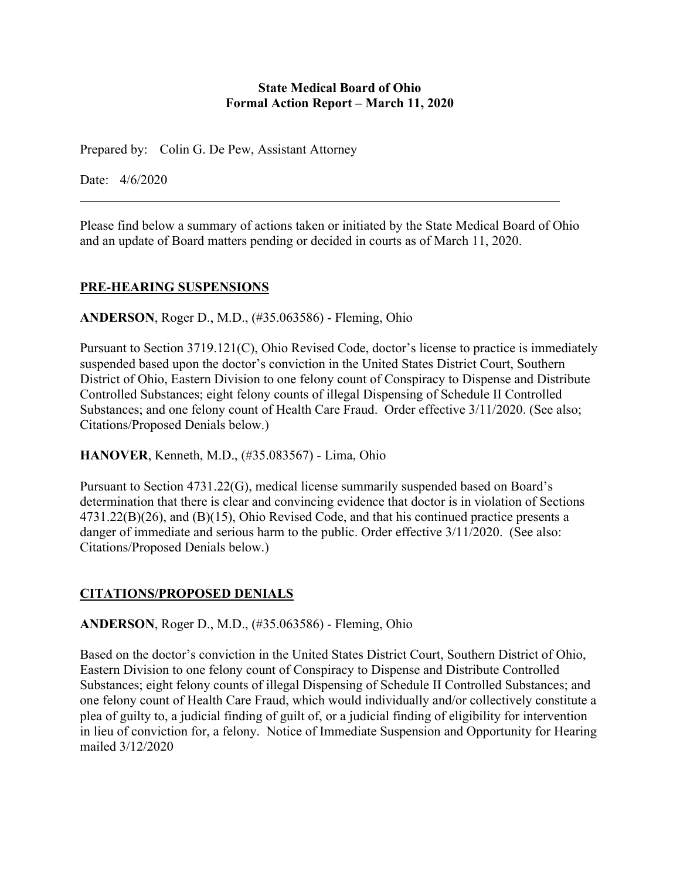### **State Medical Board of Ohio Formal Action Report – March 11, 2020**

Prepared by: Colin G. De Pew, Assistant Attorney

Date: 4/6/2020

Please find below a summary of actions taken or initiated by the State Medical Board of Ohio and an update of Board matters pending or decided in courts as of March 11, 2020.

## **PRE-HEARING SUSPENSIONS**

**ANDERSON**, Roger D., M.D., (#35.063586) - Fleming, Ohio

Pursuant to Section 3719.121(C), Ohio Revised Code, doctor's license to practice is immediately suspended based upon the doctor's conviction in the United States District Court, Southern District of Ohio, Eastern Division to one felony count of Conspiracy to Dispense and Distribute Controlled Substances; eight felony counts of illegal Dispensing of Schedule II Controlled Substances; and one felony count of Health Care Fraud. Order effective 3/11/2020. (See also; Citations/Proposed Denials below.)

**HANOVER**, Kenneth, M.D., (#35.083567) - Lima, Ohio

Pursuant to Section 4731.22(G), medical license summarily suspended based on Board's determination that there is clear and convincing evidence that doctor is in violation of Sections 4731.22(B)(26), and (B)(15), Ohio Revised Code, and that his continued practice presents a danger of immediate and serious harm to the public. Order effective 3/11/2020. (See also: Citations/Proposed Denials below.)

## **CITATIONS/PROPOSED DENIALS**

**ANDERSON**, Roger D., M.D., (#35.063586) - Fleming, Ohio

Based on the doctor's conviction in the United States District Court, Southern District of Ohio, Eastern Division to one felony count of Conspiracy to Dispense and Distribute Controlled Substances; eight felony counts of illegal Dispensing of Schedule II Controlled Substances; and one felony count of Health Care Fraud, which would individually and/or collectively constitute a plea of guilty to, a judicial finding of guilt of, or a judicial finding of eligibility for intervention in lieu of conviction for, a felony. Notice of Immediate Suspension and Opportunity for Hearing mailed 3/12/2020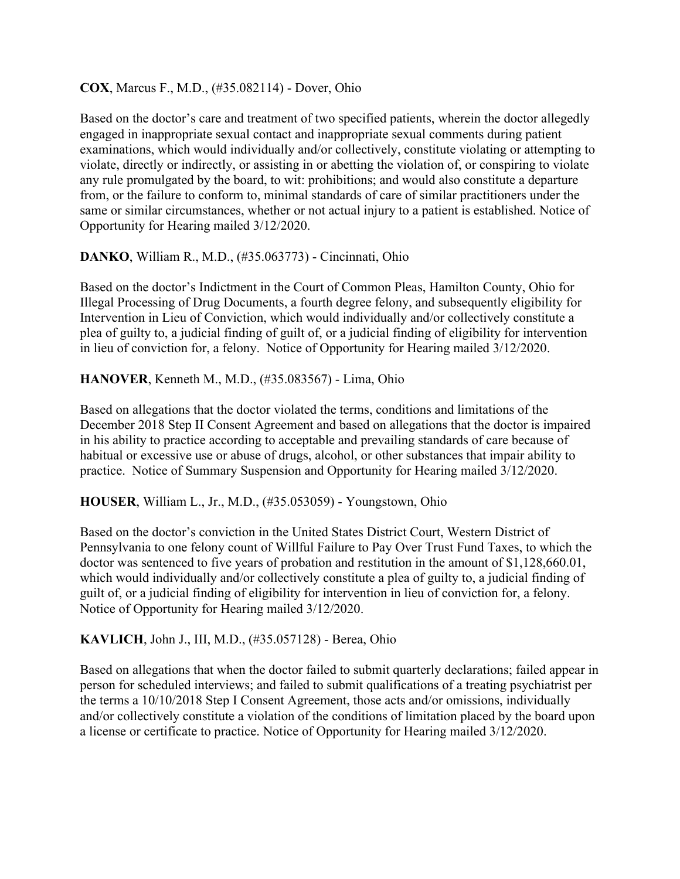### **COX**, Marcus F., M.D., (#35.082114) - Dover, Ohio

Based on the doctor's care and treatment of two specified patients, wherein the doctor allegedly engaged in inappropriate sexual contact and inappropriate sexual comments during patient examinations, which would individually and/or collectively, constitute violating or attempting to violate, directly or indirectly, or assisting in or abetting the violation of, or conspiring to violate any rule promulgated by the board, to wit: prohibitions; and would also constitute a departure from, or the failure to conform to, minimal standards of care of similar practitioners under the same or similar circumstances, whether or not actual injury to a patient is established. Notice of Opportunity for Hearing mailed 3/12/2020.

## **DANKO**, William R., M.D., (#35.063773) - Cincinnati, Ohio

Based on the doctor's Indictment in the Court of Common Pleas, Hamilton County, Ohio for Illegal Processing of Drug Documents, a fourth degree felony, and subsequently eligibility for Intervention in Lieu of Conviction, which would individually and/or collectively constitute a plea of guilty to, a judicial finding of guilt of, or a judicial finding of eligibility for intervention in lieu of conviction for, a felony. Notice of Opportunity for Hearing mailed 3/12/2020.

## **HANOVER**, Kenneth M., M.D., (#35.083567) - Lima, Ohio

Based on allegations that the doctor violated the terms, conditions and limitations of the December 2018 Step II Consent Agreement and based on allegations that the doctor is impaired in his ability to practice according to acceptable and prevailing standards of care because of habitual or excessive use or abuse of drugs, alcohol, or other substances that impair ability to practice. Notice of Summary Suspension and Opportunity for Hearing mailed 3/12/2020.

#### **HOUSER**, William L., Jr., M.D., (#35.053059) - Youngstown, Ohio

Based on the doctor's conviction in the United States District Court, Western District of Pennsylvania to one felony count of Willful Failure to Pay Over Trust Fund Taxes, to which the doctor was sentenced to five years of probation and restitution in the amount of \$1,128,660.01, which would individually and/or collectively constitute a plea of guilty to, a judicial finding of guilt of, or a judicial finding of eligibility for intervention in lieu of conviction for, a felony. Notice of Opportunity for Hearing mailed 3/12/2020.

## **KAVLICH**, John J., III, M.D., (#35.057128) - Berea, Ohio

Based on allegations that when the doctor failed to submit quarterly declarations; failed appear in person for scheduled interviews; and failed to submit qualifications of a treating psychiatrist per the terms a 10/10/2018 Step I Consent Agreement, those acts and/or omissions, individually and/or collectively constitute a violation of the conditions of limitation placed by the board upon a license or certificate to practice. Notice of Opportunity for Hearing mailed 3/12/2020.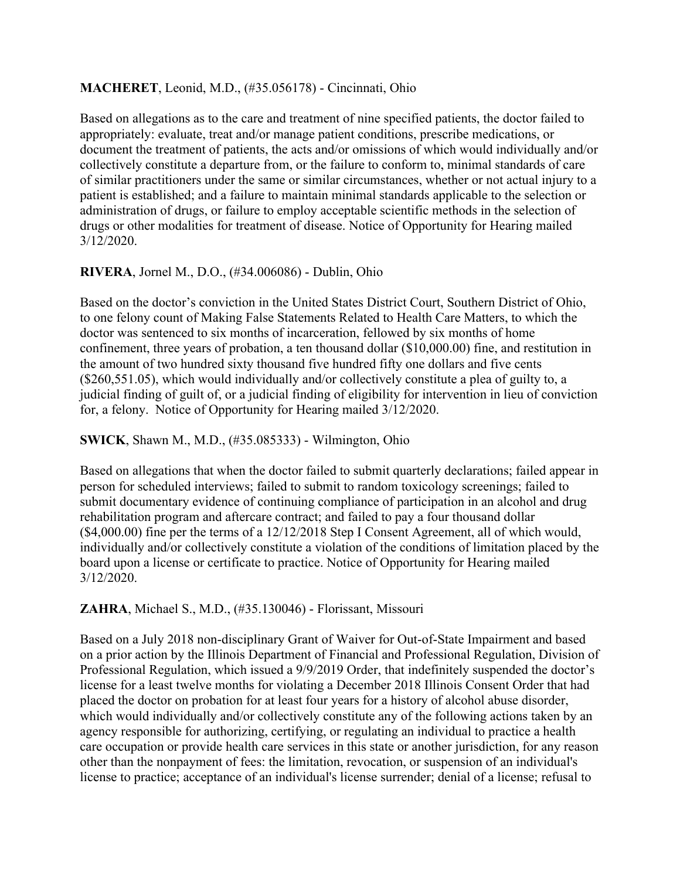## **MACHERET**, Leonid, M.D., (#35.056178) - Cincinnati, Ohio

Based on allegations as to the care and treatment of nine specified patients, the doctor failed to appropriately: evaluate, treat and/or manage patient conditions, prescribe medications, or document the treatment of patients, the acts and/or omissions of which would individually and/or collectively constitute a departure from, or the failure to conform to, minimal standards of care of similar practitioners under the same or similar circumstances, whether or not actual injury to a patient is established; and a failure to maintain minimal standards applicable to the selection or administration of drugs, or failure to employ acceptable scientific methods in the selection of drugs or other modalities for treatment of disease. Notice of Opportunity for Hearing mailed 3/12/2020.

## **RIVERA**, Jornel M., D.O., (#34.006086) - Dublin, Ohio

Based on the doctor's conviction in the United States District Court, Southern District of Ohio, to one felony count of Making False Statements Related to Health Care Matters, to which the doctor was sentenced to six months of incarceration, fellowed by six months of home confinement, three years of probation, a ten thousand dollar (\$10,000.00) fine, and restitution in the amount of two hundred sixty thousand five hundred fifty one dollars and five cents (\$260,551.05), which would individually and/or collectively constitute a plea of guilty to, a judicial finding of guilt of, or a judicial finding of eligibility for intervention in lieu of conviction for, a felony. Notice of Opportunity for Hearing mailed 3/12/2020.

**SWICK**, Shawn M., M.D., (#35.085333) - Wilmington, Ohio

Based on allegations that when the doctor failed to submit quarterly declarations; failed appear in person for scheduled interviews; failed to submit to random toxicology screenings; failed to submit documentary evidence of continuing compliance of participation in an alcohol and drug rehabilitation program and aftercare contract; and failed to pay a four thousand dollar (\$4,000.00) fine per the terms of a 12/12/2018 Step I Consent Agreement, all of which would, individually and/or collectively constitute a violation of the conditions of limitation placed by the board upon a license or certificate to practice. Notice of Opportunity for Hearing mailed 3/12/2020.

#### **ZAHRA**, Michael S., M.D., (#35.130046) - Florissant, Missouri

Based on a July 2018 non-disciplinary Grant of Waiver for Out-of-State Impairment and based on a prior action by the Illinois Department of Financial and Professional Regulation, Division of Professional Regulation, which issued a 9/9/2019 Order, that indefinitely suspended the doctor's license for a least twelve months for violating a December 2018 Illinois Consent Order that had placed the doctor on probation for at least four years for a history of alcohol abuse disorder, which would individually and/or collectively constitute any of the following actions taken by an agency responsible for authorizing, certifying, or regulating an individual to practice a health care occupation or provide health care services in this state or another jurisdiction, for any reason other than the nonpayment of fees: the limitation, revocation, or suspension of an individual's license to practice; acceptance of an individual's license surrender; denial of a license; refusal to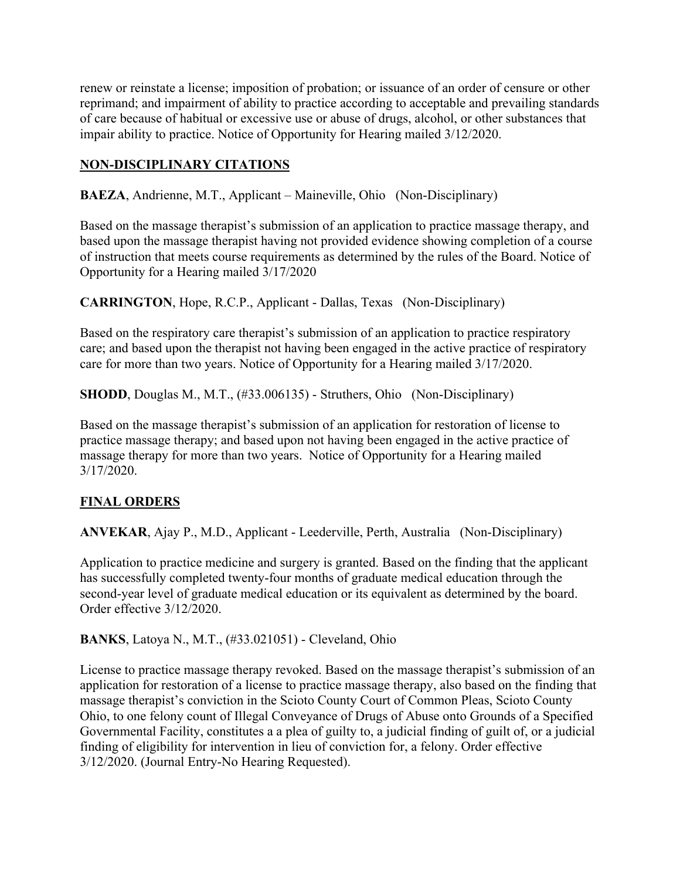renew or reinstate a license; imposition of probation; or issuance of an order of censure or other reprimand; and impairment of ability to practice according to acceptable and prevailing standards of care because of habitual or excessive use or abuse of drugs, alcohol, or other substances that impair ability to practice. Notice of Opportunity for Hearing mailed 3/12/2020.

# **NON-DISCIPLINARY CITATIONS**

**BAEZA**, Andrienne, M.T., Applicant – Maineville, Ohio (Non-Disciplinary)

Based on the massage therapist's submission of an application to practice massage therapy, and based upon the massage therapist having not provided evidence showing completion of a course of instruction that meets course requirements as determined by the rules of the Board. Notice of Opportunity for a Hearing mailed 3/17/2020

**CARRINGTON**, Hope, R.C.P., Applicant - Dallas, Texas (Non-Disciplinary)

Based on the respiratory care therapist's submission of an application to practice respiratory care; and based upon the therapist not having been engaged in the active practice of respiratory care for more than two years. Notice of Opportunity for a Hearing mailed 3/17/2020.

**SHODD**, Douglas M., M.T., (#33.006135) - Struthers, Ohio (Non-Disciplinary)

Based on the massage therapist's submission of an application for restoration of license to practice massage therapy; and based upon not having been engaged in the active practice of massage therapy for more than two years. Notice of Opportunity for a Hearing mailed 3/17/2020.

## **FINAL ORDERS**

**ANVEKAR**, Ajay P., M.D., Applicant - Leederville, Perth, Australia (Non-Disciplinary)

Application to practice medicine and surgery is granted. Based on the finding that the applicant has successfully completed twenty-four months of graduate medical education through the second-year level of graduate medical education or its equivalent as determined by the board. Order effective 3/12/2020.

**BANKS**, Latoya N., M.T., (#33.021051) - Cleveland, Ohio

License to practice massage therapy revoked. Based on the massage therapist's submission of an application for restoration of a license to practice massage therapy, also based on the finding that massage therapist's conviction in the Scioto County Court of Common Pleas, Scioto County Ohio, to one felony count of Illegal Conveyance of Drugs of Abuse onto Grounds of a Specified Governmental Facility, constitutes a a plea of guilty to, a judicial finding of guilt of, or a judicial finding of eligibility for intervention in lieu of conviction for, a felony. Order effective 3/12/2020. (Journal Entry-No Hearing Requested).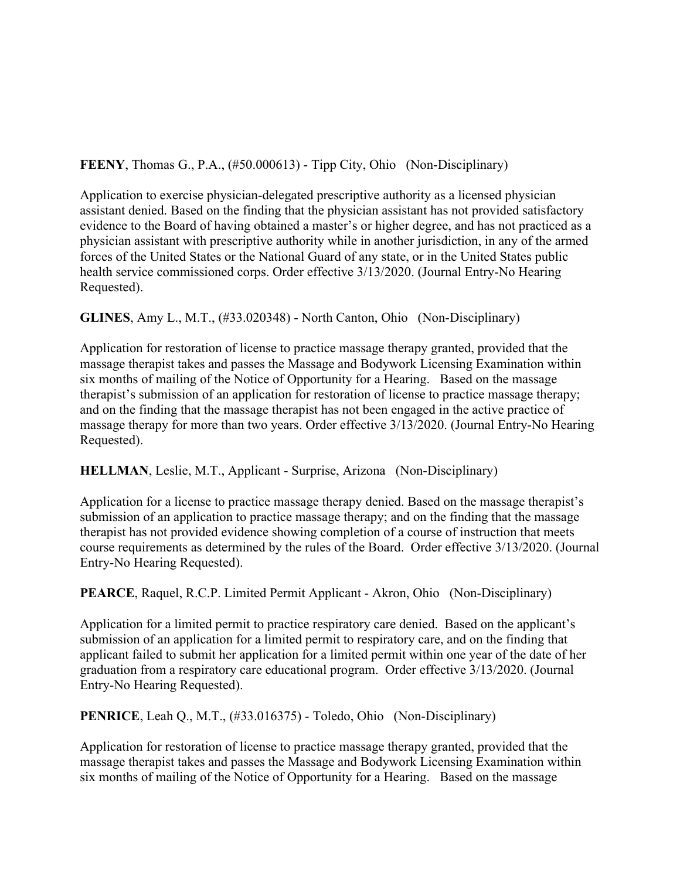**FEENY**, Thomas G., P.A., (#50.000613) - Tipp City, Ohio (Non-Disciplinary)

Application to exercise physician-delegated prescriptive authority as a licensed physician assistant denied. Based on the finding that the physician assistant has not provided satisfactory evidence to the Board of having obtained a master's or higher degree, and has not practiced as a physician assistant with prescriptive authority while in another jurisdiction, in any of the armed forces of the United States or the National Guard of any state, or in the United States public health service commissioned corps. Order effective 3/13/2020. (Journal Entry-No Hearing Requested).

**GLINES**, Amy L., M.T., (#33.020348) - North Canton, Ohio (Non-Disciplinary)

Application for restoration of license to practice massage therapy granted, provided that the massage therapist takes and passes the Massage and Bodywork Licensing Examination within six months of mailing of the Notice of Opportunity for a Hearing. Based on the massage therapist's submission of an application for restoration of license to practice massage therapy; and on the finding that the massage therapist has not been engaged in the active practice of massage therapy for more than two years. Order effective 3/13/2020. (Journal Entry-No Hearing Requested).

## **HELLMAN**, Leslie, M.T., Applicant - Surprise, Arizona (Non-Disciplinary)

Application for a license to practice massage therapy denied. Based on the massage therapist's submission of an application to practice massage therapy; and on the finding that the massage therapist has not provided evidence showing completion of a course of instruction that meets course requirements as determined by the rules of the Board. Order effective 3/13/2020. (Journal Entry-No Hearing Requested).

**PEARCE**, Raquel, R.C.P. Limited Permit Applicant - Akron, Ohio (Non-Disciplinary)

Application for a limited permit to practice respiratory care denied. Based on the applicant's submission of an application for a limited permit to respiratory care, and on the finding that applicant failed to submit her application for a limited permit within one year of the date of her graduation from a respiratory care educational program. Order effective 3/13/2020. (Journal Entry-No Hearing Requested).

**PENRICE**, Leah O., M.T., (#33.016375) - Toledo, Ohio (Non-Disciplinary)

Application for restoration of license to practice massage therapy granted, provided that the massage therapist takes and passes the Massage and Bodywork Licensing Examination within six months of mailing of the Notice of Opportunity for a Hearing. Based on the massage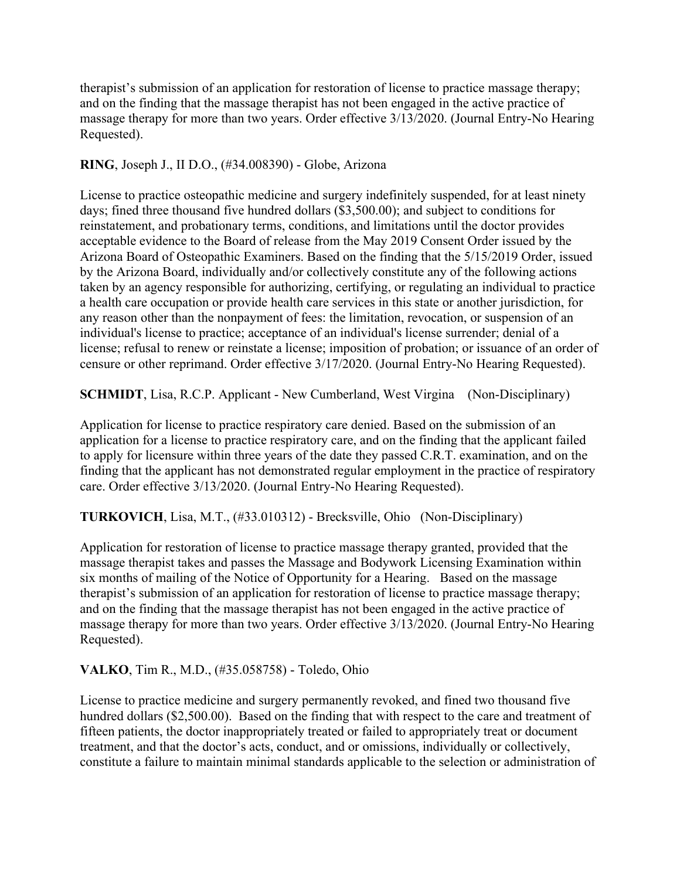therapist's submission of an application for restoration of license to practice massage therapy; and on the finding that the massage therapist has not been engaged in the active practice of massage therapy for more than two years. Order effective 3/13/2020. (Journal Entry-No Hearing Requested).

**RING**, Joseph J., II D.O., (#34.008390) - Globe, Arizona

License to practice osteopathic medicine and surgery indefinitely suspended, for at least ninety days; fined three thousand five hundred dollars (\$3,500.00); and subject to conditions for reinstatement, and probationary terms, conditions, and limitations until the doctor provides acceptable evidence to the Board of release from the May 2019 Consent Order issued by the Arizona Board of Osteopathic Examiners. Based on the finding that the 5/15/2019 Order, issued by the Arizona Board, individually and/or collectively constitute any of the following actions taken by an agency responsible for authorizing, certifying, or regulating an individual to practice a health care occupation or provide health care services in this state or another jurisdiction, for any reason other than the nonpayment of fees: the limitation, revocation, or suspension of an individual's license to practice; acceptance of an individual's license surrender; denial of a license; refusal to renew or reinstate a license; imposition of probation; or issuance of an order of censure or other reprimand. Order effective 3/17/2020. (Journal Entry-No Hearing Requested).

**SCHMIDT**, Lisa, R.C.P. Applicant - New Cumberland, West Virgina (Non-Disciplinary)

Application for license to practice respiratory care denied. Based on the submission of an application for a license to practice respiratory care, and on the finding that the applicant failed to apply for licensure within three years of the date they passed C.R.T. examination, and on the finding that the applicant has not demonstrated regular employment in the practice of respiratory care. Order effective 3/13/2020. (Journal Entry-No Hearing Requested).

**TURKOVICH**, Lisa, M.T., (#33.010312) - Brecksville, Ohio (Non-Disciplinary)

Application for restoration of license to practice massage therapy granted, provided that the massage therapist takes and passes the Massage and Bodywork Licensing Examination within six months of mailing of the Notice of Opportunity for a Hearing. Based on the massage therapist's submission of an application for restoration of license to practice massage therapy; and on the finding that the massage therapist has not been engaged in the active practice of massage therapy for more than two years. Order effective 3/13/2020. (Journal Entry-No Hearing Requested).

**VALKO**, Tim R., M.D., (#35.058758) - Toledo, Ohio

License to practice medicine and surgery permanently revoked, and fined two thousand five hundred dollars (\$2,500.00). Based on the finding that with respect to the care and treatment of fifteen patients, the doctor inappropriately treated or failed to appropriately treat or document treatment, and that the doctor's acts, conduct, and or omissions, individually or collectively, constitute a failure to maintain minimal standards applicable to the selection or administration of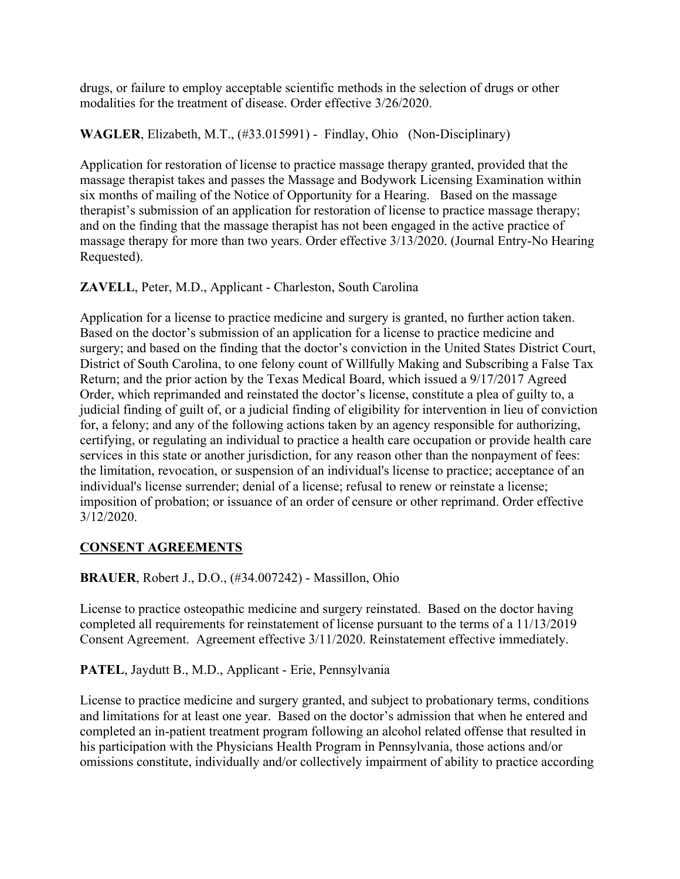drugs, or failure to employ acceptable scientific methods in the selection of drugs or other modalities for the treatment of disease. Order effective 3/26/2020.

**WAGLER**, Elizabeth, M.T., (#33.015991) - Findlay, Ohio (Non-Disciplinary)

Application for restoration of license to practice massage therapy granted, provided that the massage therapist takes and passes the Massage and Bodywork Licensing Examination within six months of mailing of the Notice of Opportunity for a Hearing. Based on the massage therapist's submission of an application for restoration of license to practice massage therapy; and on the finding that the massage therapist has not been engaged in the active practice of massage therapy for more than two years. Order effective 3/13/2020. (Journal Entry-No Hearing Requested).

**ZAVELL**, Peter, M.D., Applicant - Charleston, South Carolina

Application for a license to practice medicine and surgery is granted, no further action taken. Based on the doctor's submission of an application for a license to practice medicine and surgery; and based on the finding that the doctor's conviction in the United States District Court, District of South Carolina, to one felony count of Willfully Making and Subscribing a False Tax Return; and the prior action by the Texas Medical Board, which issued a 9/17/2017 Agreed Order, which reprimanded and reinstated the doctor's license, constitute a plea of guilty to, a judicial finding of guilt of, or a judicial finding of eligibility for intervention in lieu of conviction for, a felony; and any of the following actions taken by an agency responsible for authorizing, certifying, or regulating an individual to practice a health care occupation or provide health care services in this state or another jurisdiction, for any reason other than the nonpayment of fees: the limitation, revocation, or suspension of an individual's license to practice; acceptance of an individual's license surrender; denial of a license; refusal to renew or reinstate a license; imposition of probation; or issuance of an order of censure or other reprimand. Order effective 3/12/2020.

# **CONSENT AGREEMENTS**

**BRAUER**, Robert J., D.O., (#34.007242) - Massillon, Ohio

License to practice osteopathic medicine and surgery reinstated. Based on the doctor having completed all requirements for reinstatement of license pursuant to the terms of a 11/13/2019 Consent Agreement. Agreement effective 3/11/2020. Reinstatement effective immediately.

**PATEL**, Jaydutt B., M.D., Applicant - Erie, Pennsylvania

License to practice medicine and surgery granted, and subject to probationary terms, conditions and limitations for at least one year. Based on the doctor's admission that when he entered and completed an in-patient treatment program following an alcohol related offense that resulted in his participation with the Physicians Health Program in Pennsylvania, those actions and/or omissions constitute, individually and/or collectively impairment of ability to practice according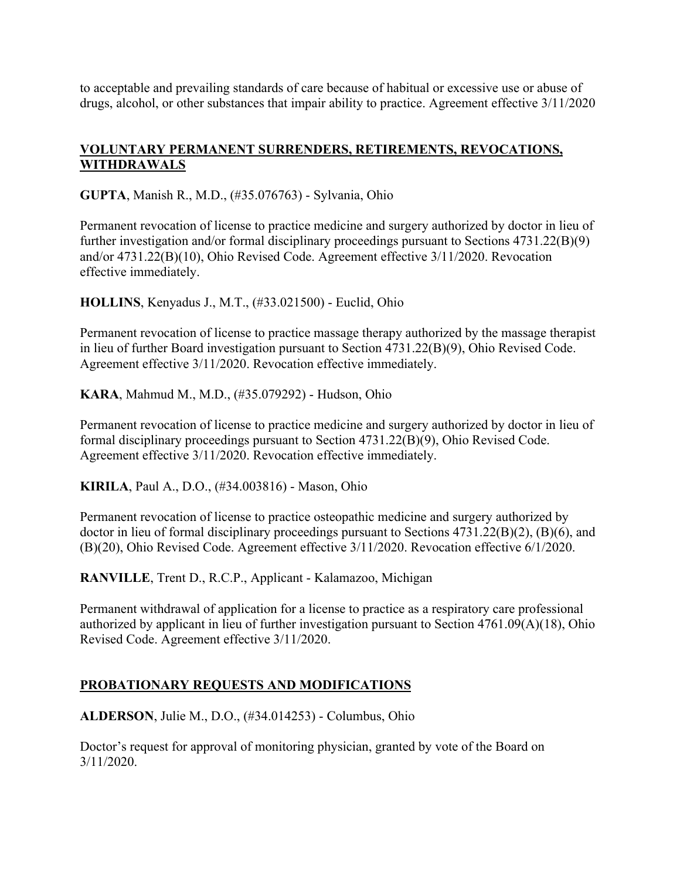to acceptable and prevailing standards of care because of habitual or excessive use or abuse of drugs, alcohol, or other substances that impair ability to practice. Agreement effective 3/11/2020

## **VOLUNTARY PERMANENT SURRENDERS, RETIREMENTS, REVOCATIONS, WITHDRAWALS**

**GUPTA**, Manish R., M.D., (#35.076763) - Sylvania, Ohio

Permanent revocation of license to practice medicine and surgery authorized by doctor in lieu of further investigation and/or formal disciplinary proceedings pursuant to Sections 4731.22(B)(9) and/or 4731.22(B)(10), Ohio Revised Code. Agreement effective 3/11/2020. Revocation effective immediately.

**HOLLINS**, Kenyadus J., M.T., (#33.021500) - Euclid, Ohio

Permanent revocation of license to practice massage therapy authorized by the massage therapist in lieu of further Board investigation pursuant to Section 4731.22(B)(9), Ohio Revised Code. Agreement effective 3/11/2020. Revocation effective immediately.

**KARA**, Mahmud M., M.D., (#35.079292) - Hudson, Ohio

Permanent revocation of license to practice medicine and surgery authorized by doctor in lieu of formal disciplinary proceedings pursuant to Section 4731.22(B)(9), Ohio Revised Code. Agreement effective 3/11/2020. Revocation effective immediately.

**KIRILA**, Paul A., D.O., (#34.003816) - Mason, Ohio

Permanent revocation of license to practice osteopathic medicine and surgery authorized by doctor in lieu of formal disciplinary proceedings pursuant to Sections 4731.22(B)(2), (B)(6), and (B)(20), Ohio Revised Code. Agreement effective 3/11/2020. Revocation effective 6/1/2020.

**RANVILLE**, Trent D., R.C.P., Applicant - Kalamazoo, Michigan

Permanent withdrawal of application for a license to practice as a respiratory care professional authorized by applicant in lieu of further investigation pursuant to Section 4761.09(A)(18), Ohio Revised Code. Agreement effective 3/11/2020.

## **PROBATIONARY REQUESTS AND MODIFICATIONS**

**ALDERSON**, Julie M., D.O., (#34.014253) - Columbus, Ohio

Doctor's request for approval of monitoring physician, granted by vote of the Board on 3/11/2020.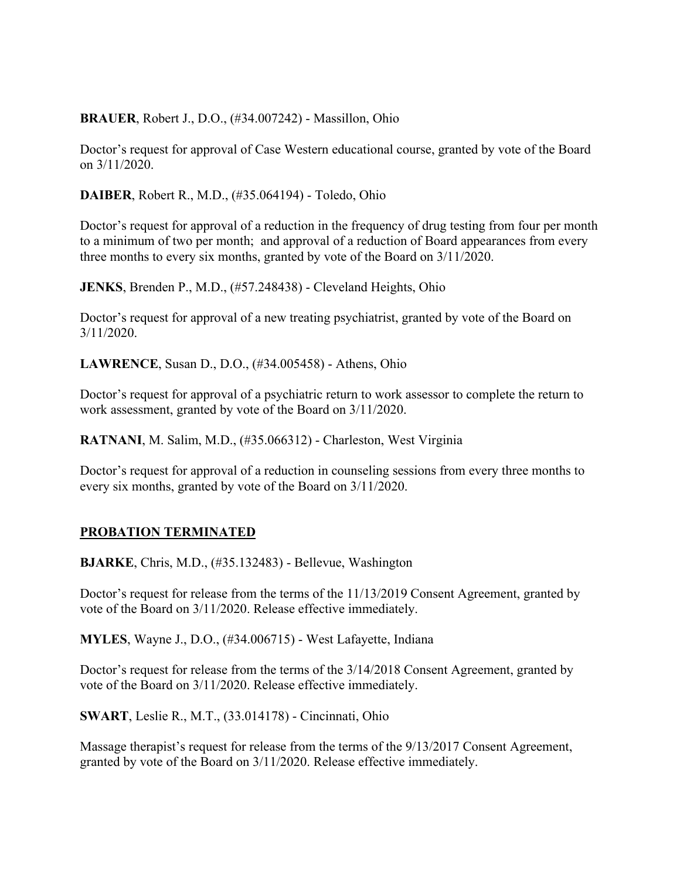**BRAUER**, Robert J., D.O., (#34.007242) - Massillon, Ohio

Doctor's request for approval of Case Western educational course, granted by vote of the Board on 3/11/2020.

**DAIBER**, Robert R., M.D., (#35.064194) - Toledo, Ohio

Doctor's request for approval of a reduction in the frequency of drug testing from four per month to a minimum of two per month; and approval of a reduction of Board appearances from every three months to every six months, granted by vote of the Board on 3/11/2020.

**JENKS**, Brenden P., M.D., (#57.248438) - Cleveland Heights, Ohio

Doctor's request for approval of a new treating psychiatrist, granted by vote of the Board on 3/11/2020.

**LAWRENCE**, Susan D., D.O., (#34.005458) - Athens, Ohio

Doctor's request for approval of a psychiatric return to work assessor to complete the return to work assessment, granted by vote of the Board on 3/11/2020.

**RATNANI**, M. Salim, M.D., (#35.066312) - Charleston, West Virginia

Doctor's request for approval of a reduction in counseling sessions from every three months to every six months, granted by vote of the Board on 3/11/2020.

## **PROBATION TERMINATED**

**BJARKE**, Chris, M.D., (#35.132483) - Bellevue, Washington

Doctor's request for release from the terms of the 11/13/2019 Consent Agreement, granted by vote of the Board on 3/11/2020. Release effective immediately.

**MYLES**, Wayne J., D.O., (#34.006715) - West Lafayette, Indiana

Doctor's request for release from the terms of the 3/14/2018 Consent Agreement, granted by vote of the Board on 3/11/2020. Release effective immediately.

**SWART**, Leslie R., M.T., (33.014178) - Cincinnati, Ohio

Massage therapist's request for release from the terms of the 9/13/2017 Consent Agreement, granted by vote of the Board on 3/11/2020. Release effective immediately.